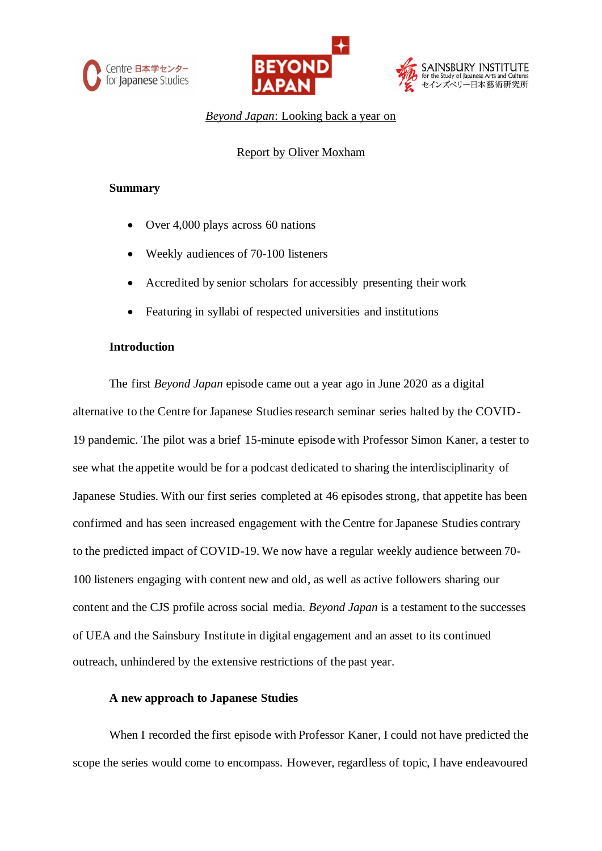





## *Beyond Japan*: Looking back a year on

### Report by Oliver Moxham

### **Summary**

- Over 4,000 plays across 60 nations
- Weekly audiences of 70-100 listeners
- Accredited by senior scholars for accessibly presenting their work
- Featuring in syllabi of respected universities and institutions

### **Introduction**

The first *Beyond Japan* episode came out a year ago in June 2020 as a digital alternative to the Centre for Japanese Studies research seminar series halted by the COVID-19 pandemic. The pilot was a brief 15-minute episode with Professor Simon Kaner, a tester to see what the appetite would be for a podcast dedicated to sharing the interdisciplinarity of Japanese Studies. With our first series completed at 46 episodes strong, that appetite has been confirmed and has seen increased engagement with the Centre for Japanese Studies contrary to the predicted impact of COVID-19. We now have a regular weekly audience between 70- 100 listeners engaging with content new and old, as well as active followers sharing our content and the CJS profile across social media. *Beyond Japan* is a testament to the successes of UEA and the Sainsbury Institute in digital engagement and an asset to its continued outreach, unhindered by the extensive restrictions of the past year.

### **A new approach to Japanese Studies**

When I recorded the first episode with Professor Kaner, I could not have predicted the scope the series would come to encompass. However, regardless of topic, I have endeavoured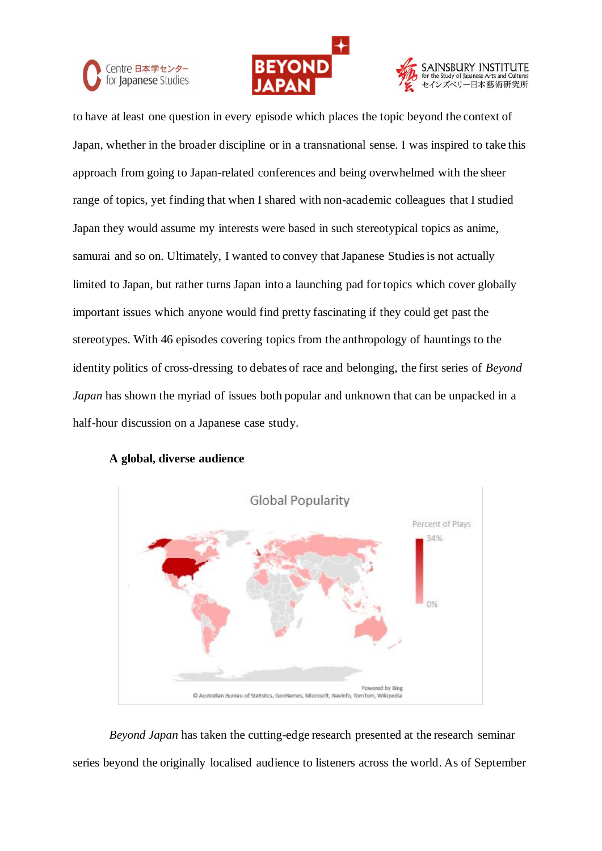





to have at least one question in every episode which places the topic beyond the context of Japan, whether in the broader discipline or in a transnational sense. I was inspired to take this approach from going to Japan-related conferences and being overwhelmed with the sheer range of topics, yet finding that when I shared with non-academic colleagues that I studied Japan they would assume my interests were based in such stereotypical topics as anime, samurai and so on. Ultimately, I wanted to convey that Japanese Studies is not actually limited to Japan, but rather turns Japan into a launching pad for topics which cover globally important issues which anyone would find pretty fascinating if they could get past the stereotypes. With 46 episodes covering topics from the anthropology of hauntings to the identity politics of cross-dressing to debates of race and belonging, the first series of *Beyond Japan* has shown the myriad of issues both popular and unknown that can be unpacked in a half-hour discussion on a Japanese case study.

## **A global, diverse audience**



*Beyond Japan* has taken the cutting-edge research presented at the research seminar series beyond the originally localised audience to listeners across the world. As of September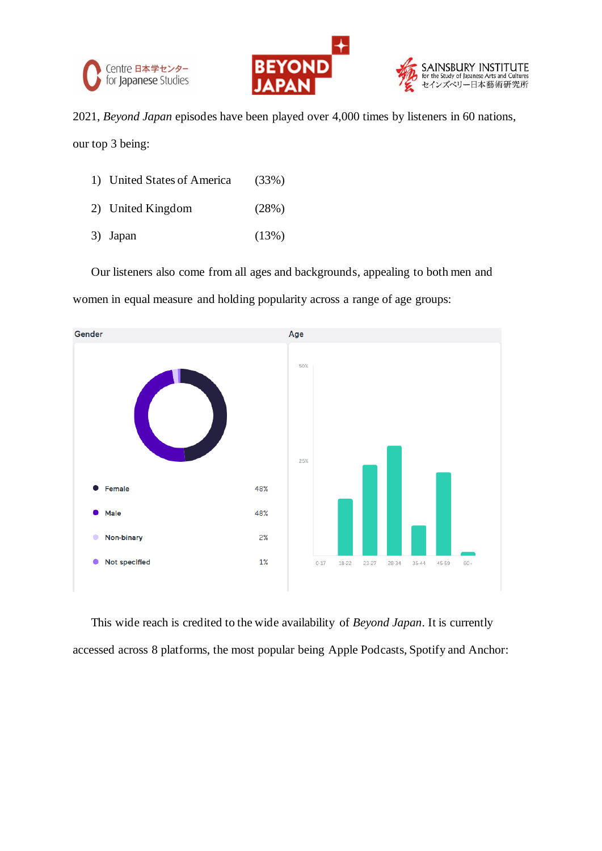





2021, *Beyond Japan* episodes have been played over 4,000 times by listeners in 60 nations,

our top 3 being:

| 1) United States of America | (33%) |
|-----------------------------|-------|
| 2) United Kingdom           | (28%) |
| 3) Japan                    | (13%) |

Our listeners also come from all ages and backgrounds, appealing to both men and women in equal measure and holding popularity across a range of age groups:



This wide reach is credited to the wide availability of *Beyond Japan*. It is currently accessed across 8 platforms, the most popular being Apple Podcasts, Spotify and Anchor: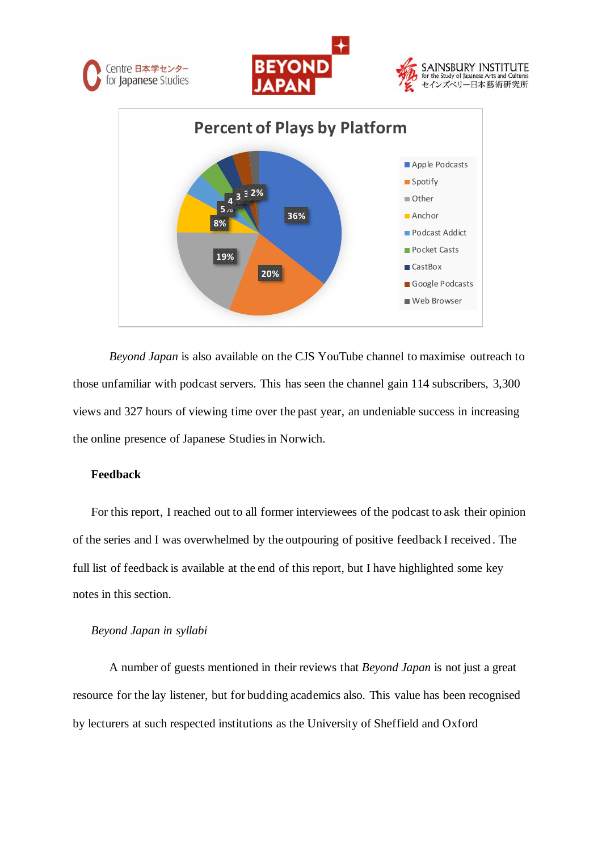







*Beyond Japan* is also available on the CJS YouTube channel to maximise outreach to those unfamiliar with podcast servers. This has seen the channel gain 114 subscribers, 3,300 views and 327 hours of viewing time over the past year, an undeniable success in increasing the online presence of Japanese Studies in Norwich.

### **Feedback**

For this report, I reached out to all former interviewees of the podcast to ask their opinion of the series and I was overwhelmed by the outpouring of positive feedback I received . The full list of feedback is available at the end of this report, but I have highlighted some key notes in this section.

#### *Beyond Japan in syllabi*

A number of guests mentioned in their reviews that *Beyond Japan* is not just a great resource for the lay listener, but for budding academics also. This value has been recognised by lecturers at such respected institutions as the University of Sheffield and Oxford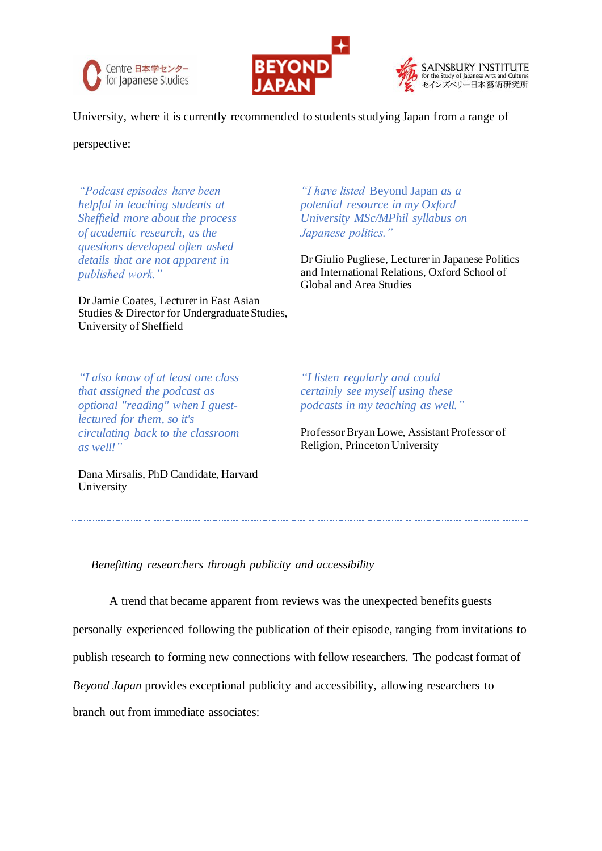





University, where it is currently recommended to students studying Japan from a range of

perspective:

*"Podcast episodes have been helpful in teaching students at Sheffield more about the process of academic research, as the questions developed often asked details that are not apparent in published work."*

Dr Jamie Coates, Lecturer in East Asian Studies & Director for Undergraduate Studies, University of Sheffield

*"I have listed* Beyond Japan *as a potential resource in my Oxford University MSc/MPhil syllabus on Japanese politics."*

Dr Giulio Pugliese, Lecturer in Japanese Politics and International Relations, Oxford School of Global and Area Studies

*"I also know of at least one class that assigned the podcast as optional "reading" when I guestlectured for them, so it's circulating back to the classroom as well!"*

*"I listen regularly and could certainly see myself using these podcasts in my teaching as well."*

Professor Bryan Lowe, Assistant Professor of Religion, Princeton University

Dana Mirsalis, PhD Candidate, Harvard University

*Benefitting researchers through publicity and accessibility*

A trend that became apparent from reviews was the unexpected benefits guests

personally experienced following the publication of their episode, ranging from invitations to

publish research to forming new connections with fellow researchers. The podcast format of

*Beyond Japan* provides exceptional publicity and accessibility, allowing researchers to

branch out from immediate associates: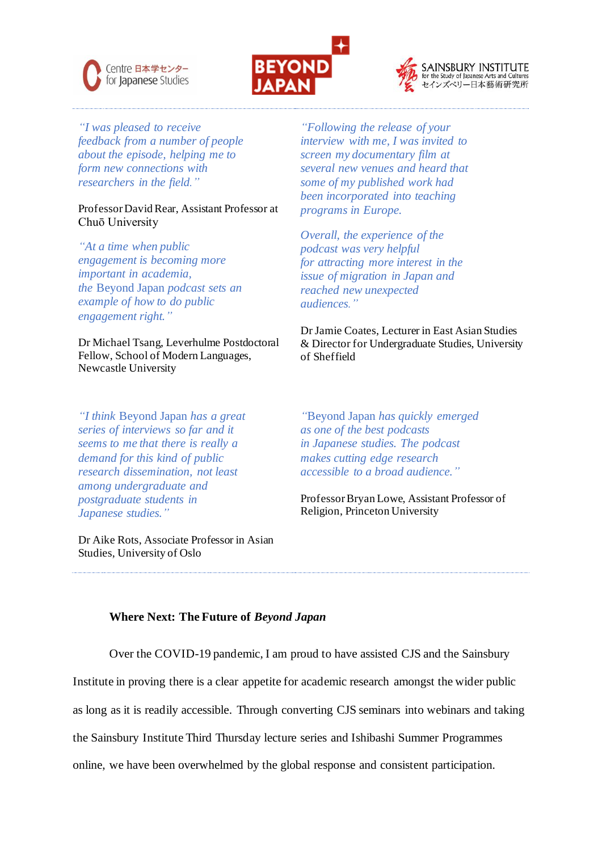





*"I was pleased to receive feedback from a number of people about the episode, helping me to form new connections with researchers in the field."*

### Professor David Rear, Assistant Professor at Chuō University

*"At a time when public engagement is becoming more important in academia, the* Beyond Japan *podcast sets an example of how to do public engagement right."*

Dr Michael Tsang, Leverhulme Postdoctoral Fellow, School of Modern Languages, Newcastle University

*"I think* Beyond Japan *has a great series of interviews so far and it seems to me that there is really a demand for this kind of public research dissemination, not least among undergraduate and postgraduate students in Japanese studies."*

Dr Aike Rots, Associate Professor in Asian Studies, University of Oslo

*"Following the release of your interview with me, I was invited to screen my documentary film at several new venues and heard that some of my published work had been incorporated into teaching programs in Europe.*

*Overall, the experience of the podcast was very helpful for attracting more interest in the issue of migration in Japan and reached new unexpected audiences."*

Dr Jamie Coates, Lecturer in East Asian Studies & Director for Undergraduate Studies, University of Sheffield

*"*Beyond Japan *has quickly emerged as one of the best podcasts in Japanese studies. The podcast makes cutting edge research accessible to a broad audience."*

Professor Bryan Lowe, Assistant Professor of Religion, Princeton University

## **Where Next: The Future of** *Beyond Japan*

Over the COVID-19 pandemic, I am proud to have assisted CJS and the Sainsbury

Institute in proving there is a clear appetite for academic research amongst the wider public

as long as it is readily accessible. Through converting CJS seminars into webinars and taking

the Sainsbury Institute Third Thursday lecture series and Ishibashi Summer Programmes

online, we have been overwhelmed by the global response and consistent participation.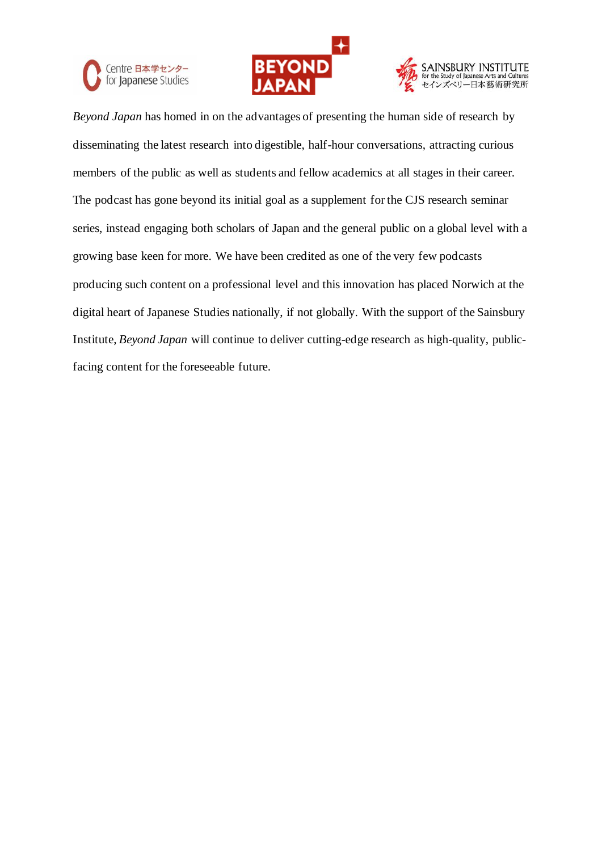





*Beyond Japan* has homed in on the advantages of presenting the human side of research by disseminating the latest research into digestible, half-hour conversations, attracting curious members of the public as well as students and fellow academics at all stages in their career. The podcast has gone beyond its initial goal as a supplement for the CJS research seminar series, instead engaging both scholars of Japan and the general public on a global level with a growing base keen for more. We have been credited as one of the very few podcasts producing such content on a professional level and this innovation has placed Norwich at the digital heart of Japanese Studies nationally, if not globally. With the support of the Sainsbury Institute, *Beyond Japan* will continue to deliver cutting-edge research as high-quality, publicfacing content for the foreseeable future.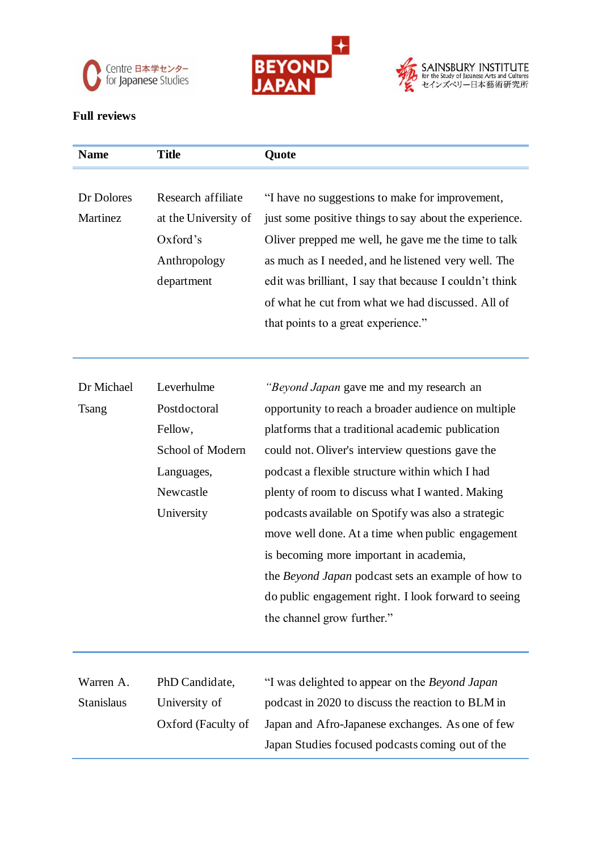





# **Full reviews**

| <b>Name</b>       | <b>Title</b>         | Quote                                                   |
|-------------------|----------------------|---------------------------------------------------------|
|                   |                      |                                                         |
| Dr Dolores        | Research affiliate   | "I have no suggestions to make for improvement,         |
| Martinez          | at the University of | just some positive things to say about the experience.  |
|                   | Oxford's             | Oliver prepped me well, he gave me the time to talk     |
|                   | Anthropology         | as much as I needed, and he listened very well. The     |
|                   | department           | edit was brilliant, I say that because I couldn't think |
|                   |                      | of what he cut from what we had discussed. All of       |
|                   |                      | that points to a great experience."                     |
|                   |                      |                                                         |
|                   |                      |                                                         |
| Dr Michael        | Leverhulme           | "Beyond Japan gave me and my research an                |
| <b>Tsang</b>      | Postdoctoral         | opportunity to reach a broader audience on multiple     |
|                   | Fellow,              | platforms that a traditional academic publication       |
|                   | School of Modern     | could not. Oliver's interview questions gave the        |
|                   | Languages,           | podcast a flexible structure within which I had         |
|                   | Newcastle            | plenty of room to discuss what I wanted. Making         |
|                   | University           | podcasts available on Spotify was also a strategic      |
|                   |                      | move well done. At a time when public engagement        |
|                   |                      | is becoming more important in academia,                 |
|                   |                      | the Beyond Japan podcast sets an example of how to      |
|                   |                      | do public engagement right. I look forward to seeing    |
|                   |                      | the channel grow further."                              |
|                   |                      |                                                         |
|                   |                      |                                                         |
| Warren A.         | PhD Candidate,       | "I was delighted to appear on the Beyond Japan          |
| <b>Stanislaus</b> | University of        | podcast in 2020 to discuss the reaction to BLM in       |
|                   | Oxford (Faculty of   | Japan and Afro-Japanese exchanges. As one of few        |
|                   |                      | Japan Studies focused podcasts coming out of the        |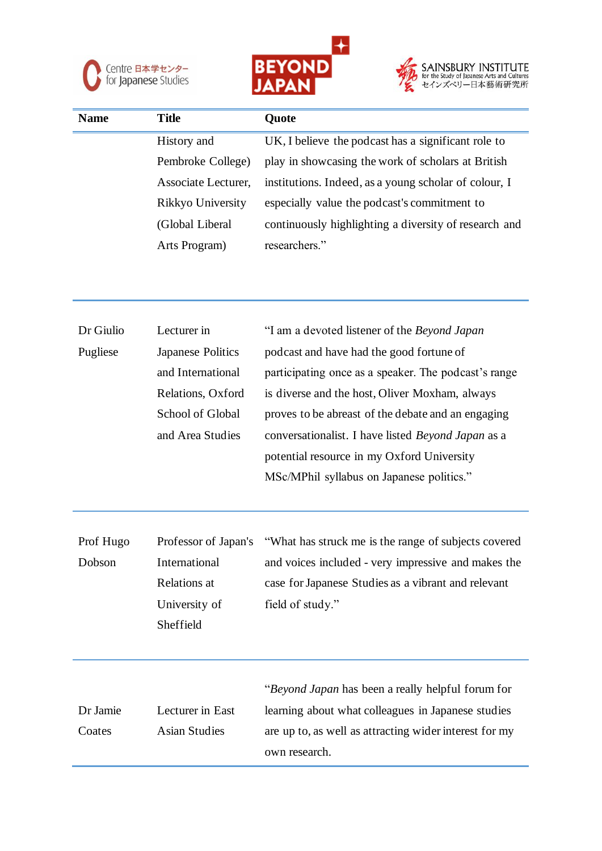





| <b>Name</b> | <b>Title</b>        | Quote                                                 |
|-------------|---------------------|-------------------------------------------------------|
|             | History and         | UK, I believe the podcast has a significant role to   |
|             | Pembroke College)   | play in showcasing the work of scholars at British    |
|             | Associate Lecturer, | institutions. Indeed, as a young scholar of colour, I |
|             | Rikkyo University   | especially value the podcast's commitment to          |
|             | (Global Liberal     | continuously highlighting a diversity of research and |
|             | Arts Program)       | researchers."                                         |
|             |                     |                                                       |

| Dr Giulio | Lecturer in          | "I am a devoted listener of the Beyond Japan           |
|-----------|----------------------|--------------------------------------------------------|
| Pugliese  | Japanese Politics    | podcast and have had the good fortune of               |
|           | and International    | participating once as a speaker. The podcast's range   |
|           | Relations, Oxford    | is diverse and the host, Oliver Moxham, always         |
|           | School of Global     | proves to be abreast of the debate and an engaging     |
|           | and Area Studies     | conversationalist. I have listed Beyond Japan as a     |
|           |                      | potential resource in my Oxford University             |
|           |                      | MSc/MPhil syllabus on Japanese politics."              |
|           |                      |                                                        |
|           |                      |                                                        |
| Prof Hugo | Professor of Japan's | "What has struck me is the range of subjects covered   |
| Dobson    | International        | and voices included - very impressive and makes the    |
|           | <b>Relations</b> at  | case for Japanese Studies as a vibrant and relevant    |
|           | University of        | field of study."                                       |
|           | Sheffield            |                                                        |
|           |                      |                                                        |
|           |                      | "Beyond Japan has been a really helpful forum for      |
| Dr Jamie  | Lecturer in East     | learning about what colleagues in Japanese studies     |
| Coates    | <b>Asian Studies</b> | are up to, as well as attracting wider interest for my |
|           |                      | own research.                                          |
|           |                      |                                                        |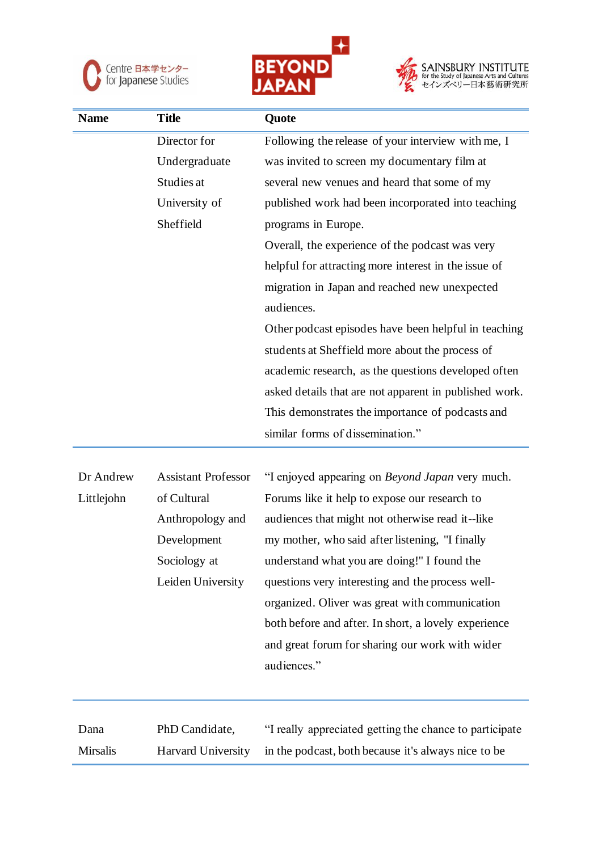





| <b>Name</b> | <b>Title</b>  | Quote                                                  |
|-------------|---------------|--------------------------------------------------------|
|             | Director for  | Following the release of your interview with me, I     |
|             | Undergraduate | was invited to screen my documentary film at           |
|             | Studies at    | several new venues and heard that some of my           |
|             | University of | published work had been incorporated into teaching     |
|             | Sheffield     | programs in Europe.                                    |
|             |               | Overall, the experience of the podcast was very        |
|             |               | helpful for attracting more interest in the issue of   |
|             |               | migration in Japan and reached new unexpected          |
|             |               | audiences.                                             |
|             |               | Other podcast episodes have been helpful in teaching   |
|             |               | students at Sheffield more about the process of        |
|             |               | academic research, as the questions developed often    |
|             |               | asked details that are not apparent in published work. |
|             |               | This demonstrates the importance of podcasts and       |
|             |               | similar forms of dissemination."                       |
|             |               |                                                        |

| Dr Andrew  | <b>Assistant Professor</b> | "I enjoyed appearing on <i>Beyond Japan</i> very much. |
|------------|----------------------------|--------------------------------------------------------|
| Littlejohn | of Cultural                | Forums like it help to expose our research to          |
|            | Anthropology and           | audiences that might not otherwise read it--like       |
|            | Development                | my mother, who said after listening, "I finally        |
|            | Sociology at               | understand what you are doing!" I found the            |
|            | Leiden University          | questions very interesting and the process well-       |
|            |                            | organized. Oliver was great with communication         |
|            |                            | both before and after. In short, a lovely experience   |
|            |                            | and great forum for sharing our work with wider        |
|            |                            | audiences."                                            |
|            |                            |                                                        |

Dana Mirsalis PhD Candidate, Harvard University "I really appreciated getting the chance to participate in the podcast, both because it's always nice to be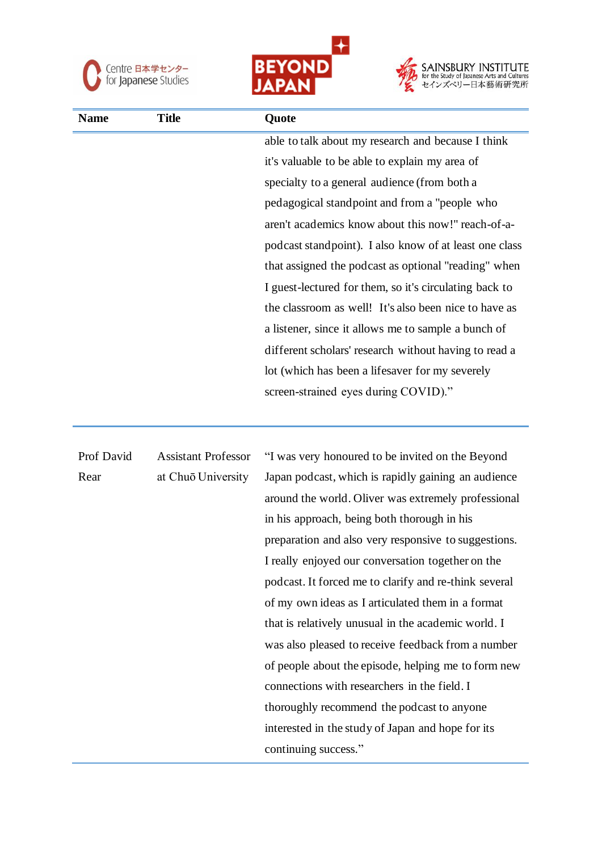





| <b>Name</b> | <b>Title</b>               | Quote                                                  |
|-------------|----------------------------|--------------------------------------------------------|
|             |                            | able to talk about my research and because I think     |
|             |                            | it's valuable to be able to explain my area of         |
|             |                            | specialty to a general audience (from both a           |
|             |                            | pedagogical standpoint and from a "people who          |
|             |                            | aren't academics know about this now!" reach-of-a-     |
|             |                            | podcast standpoint). I also know of at least one class |
|             |                            | that assigned the podcast as optional "reading" when   |
|             |                            | I guest-lectured for them, so it's circulating back to |
|             |                            | the classroom as well! It's also been nice to have as  |
|             |                            | a listener, since it allows me to sample a bunch of    |
|             |                            | different scholars' research without having to read a  |
|             |                            | lot (which has been a lifesaver for my severely        |
|             |                            | screen-strained eyes during COVID)."                   |
|             |                            |                                                        |
| Prof David  | <b>Assistant Professor</b> | "I was very honoured to be invited on the Beyond       |
| Rear        | at Chuō University         | Japan podcast, which is rapidly gaining an audience    |
|             |                            | around the world. Oliver was extremely professional    |
|             |                            | in his approach, being both thorough in his            |
|             |                            | preparation and also very responsive to suggestions.   |
|             |                            | I really enjoyed our conversation together on the      |
|             |                            | podcast. It forced me to clarify and re-think several  |
|             |                            | of my own ideas as I articulated them in a format      |
|             |                            | that is relatively unusual in the academic world. I    |
|             |                            | was also pleased to receive feedback from a number     |
|             |                            | of people about the episode, helping me to form new    |
|             |                            | connections with researchers in the field. I           |
|             |                            | thoroughly recommend the podcast to anyone             |

interested in the study of Japan and hope for its

continuing success."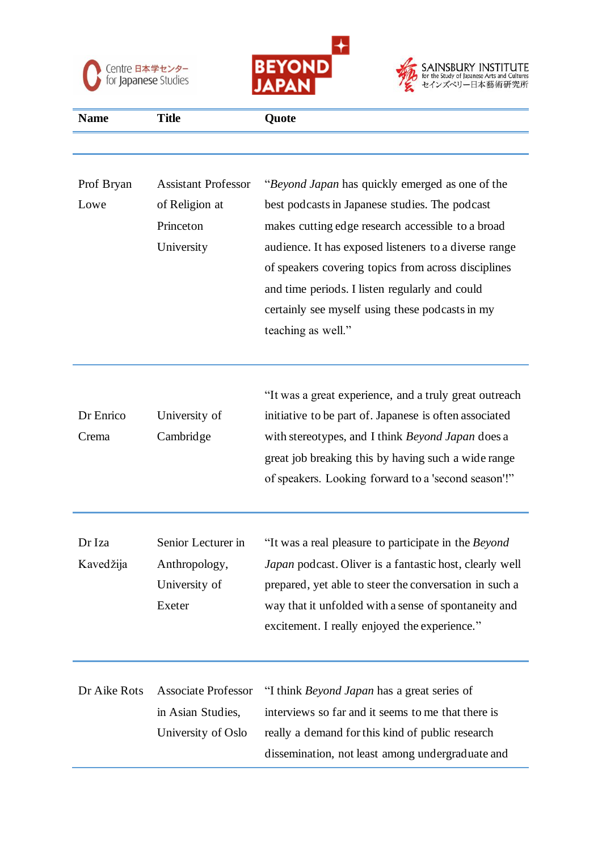





| <b>Name</b>         | <b>Title</b>                                                            | Quote                                                                                                                                                                                                                                                                                                                                                                                             |
|---------------------|-------------------------------------------------------------------------|---------------------------------------------------------------------------------------------------------------------------------------------------------------------------------------------------------------------------------------------------------------------------------------------------------------------------------------------------------------------------------------------------|
|                     |                                                                         |                                                                                                                                                                                                                                                                                                                                                                                                   |
| Prof Bryan<br>Lowe  | <b>Assistant Professor</b><br>of Religion at<br>Princeton<br>University | "Beyond Japan has quickly emerged as one of the<br>best podcasts in Japanese studies. The podcast<br>makes cutting edge research accessible to a broad<br>audience. It has exposed listeners to a diverse range<br>of speakers covering topics from across disciplines<br>and time periods. I listen regularly and could<br>certainly see myself using these podcasts in my<br>teaching as well." |
| Dr Enrico<br>Crema  | University of<br>Cambridge                                              | "It was a great experience, and a truly great outreach<br>initiative to be part of. Japanese is often associated<br>with stereotypes, and I think Beyond Japan does a<br>great job breaking this by having such a wide range<br>of speakers. Looking forward to a 'second season'!"                                                                                                               |
| Dr Iza<br>Kavedžija | Senior Lecturer in<br>Anthropology,<br>University of<br>Exeter          | "It was a real pleasure to participate in the Beyond<br>Japan podcast. Oliver is a fantastic host, clearly well<br>prepared, yet able to steer the conversation in such a<br>way that it unfolded with a sense of spontaneity and<br>excitement. I really enjoyed the experience."                                                                                                                |
| Dr Aike Rots        | <b>Associate Professor</b><br>in Asian Studies,<br>University of Oslo   | "I think <i>Beyond Japan</i> has a great series of<br>interviews so far and it seems to me that there is<br>really a demand for this kind of public research<br>dissemination, not least among undergraduate and                                                                                                                                                                                  |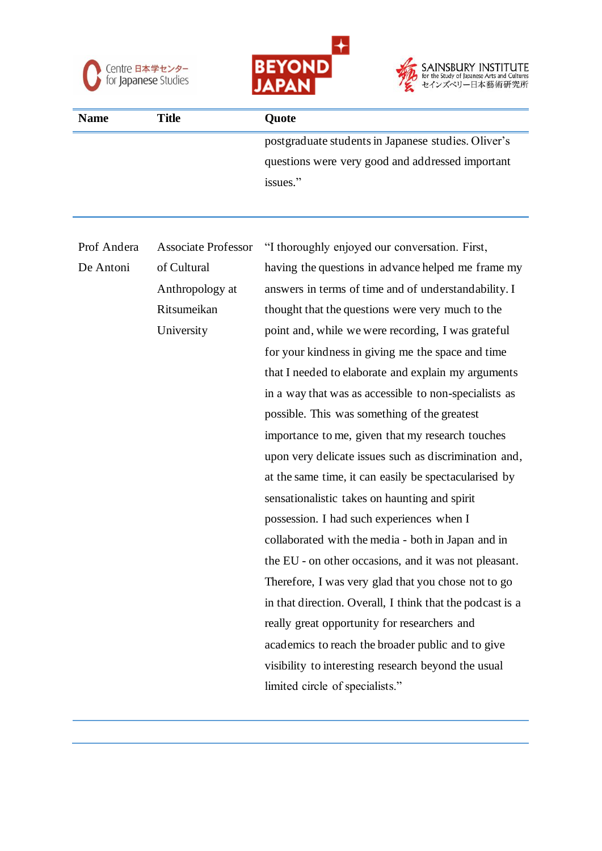





| <b>Name</b> | Title | <b>Ouote</b>                                        |
|-------------|-------|-----------------------------------------------------|
|             |       | postgraduate students in Japanese studies. Oliver's |
|             |       | questions were very good and addressed important    |
|             |       | issues."                                            |

| Prof Andera | <b>Associate Professor</b> | "I thoroughly enjoyed our conversation. First,            |
|-------------|----------------------------|-----------------------------------------------------------|
| De Antoni   | of Cultural                | having the questions in advance helped me frame my        |
|             | Anthropology at            | answers in terms of time and of understandability. I      |
|             | Ritsumeikan                | thought that the questions were very much to the          |
|             | University                 | point and, while we were recording, I was grateful        |
|             |                            | for your kindness in giving me the space and time         |
|             |                            | that I needed to elaborate and explain my arguments       |
|             |                            | in a way that was as accessible to non-specialists as     |
|             |                            | possible. This was something of the greatest              |
|             |                            | importance to me, given that my research touches          |
|             |                            | upon very delicate issues such as discrimination and,     |
|             |                            | at the same time, it can easily be spectacularised by     |
|             |                            | sensationalistic takes on haunting and spirit             |
|             |                            | possession. I had such experiences when I                 |
|             |                            | collaborated with the media - both in Japan and in        |
|             |                            | the EU - on other occasions, and it was not pleasant.     |
|             |                            | Therefore, I was very glad that you chose not to go       |
|             |                            | in that direction. Overall, I think that the podcast is a |
|             |                            | really great opportunity for researchers and              |
|             |                            | academics to reach the broader public and to give         |
|             |                            | visibility to interesting research beyond the usual       |
|             |                            | limited circle of specialists."                           |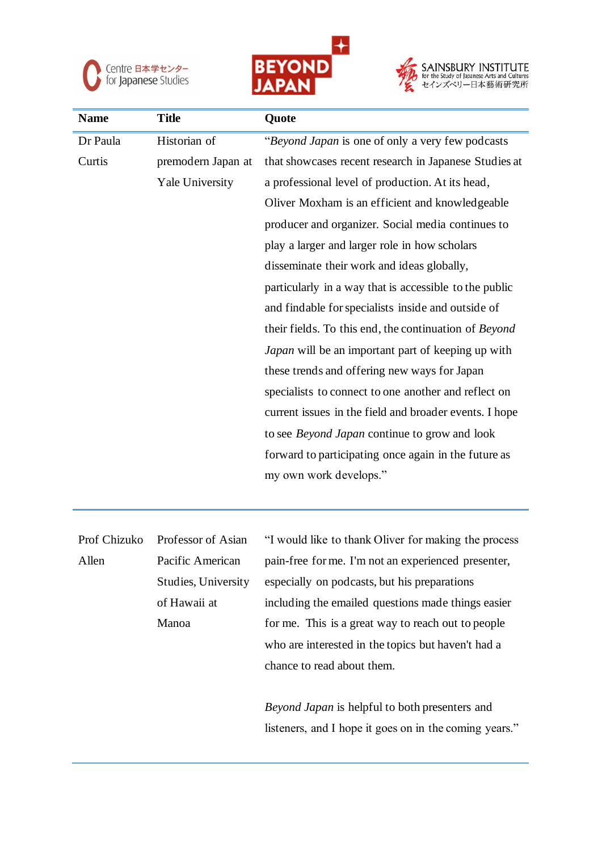

Manoa





| <b>Name</b>  | <b>Title</b>        | Quote                                                  |
|--------------|---------------------|--------------------------------------------------------|
| Dr Paula     | Historian of        | "Beyond Japan is one of only a very few podcasts       |
| Curtis       | premodern Japan at  | that showcases recent research in Japanese Studies at  |
|              | Yale University     | a professional level of production. At its head,       |
|              |                     | Oliver Moxham is an efficient and knowledgeable        |
|              |                     | producer and organizer. Social media continues to      |
|              |                     | play a larger and larger role in how scholars          |
|              |                     | disseminate their work and ideas globally,             |
|              |                     | particularly in a way that is accessible to the public |
|              |                     | and findable for specialists inside and outside of     |
|              |                     | their fields. To this end, the continuation of Beyond  |
|              |                     | Japan will be an important part of keeping up with     |
|              |                     | these trends and offering new ways for Japan           |
|              |                     | specialists to connect to one another and reflect on   |
|              |                     | current issues in the field and broader events. I hope |
|              |                     | to see Beyond Japan continue to grow and look          |
|              |                     | forward to participating once again in the future as   |
|              |                     | my own work develops."                                 |
|              |                     |                                                        |
|              |                     |                                                        |
| Prof Chizuko | Professor of Asian  | "I would like to thank Oliver for making the process   |
| Allen        | Pacific American    | pain-free for me. I'm not an experienced presenter,    |
|              | Studies, University | especially on podcasts, but his preparations           |
|              | of Hawaii at        | including the emailed questions made things easier     |

*Beyond Japan* is helpful to both presenters and listeners, and I hope it goes on in the coming years."

for me. This is a great way to reach out to people

who are interested in the topics but haven't had a

chance to read about them.